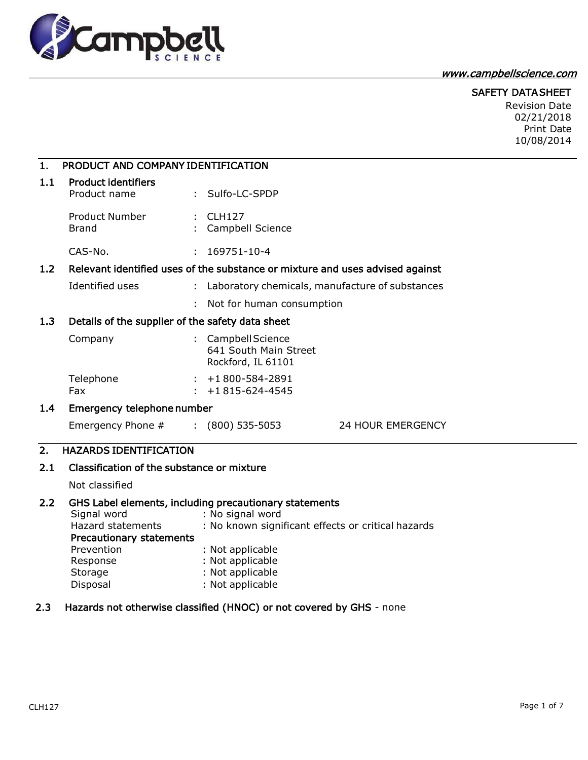

## [www.campbellscience.com](http://www.campbellscience.com/)

## SAFETY DATA SHEET

Revision Date 02/21/2018 Print Date 10/08/2014

| $\mathbf{1}$ .                                                                       | PRODUCT AND COMPANY IDENTIFICATION                                                                            |                                                                                                                                                                                                                  |  |  |  |
|--------------------------------------------------------------------------------------|---------------------------------------------------------------------------------------------------------------|------------------------------------------------------------------------------------------------------------------------------------------------------------------------------------------------------------------|--|--|--|
| 1.1                                                                                  | <b>Product identifiers</b><br>Product name                                                                    | : Sulfo-LC-SPDP                                                                                                                                                                                                  |  |  |  |
|                                                                                      | <b>Product Number</b><br><b>Brand</b>                                                                         | $:$ CLH127<br>Campbell Science                                                                                                                                                                                   |  |  |  |
|                                                                                      | CAS-No.                                                                                                       | 169751-10-4<br>÷.                                                                                                                                                                                                |  |  |  |
| Relevant identified uses of the substance or mixture and uses advised against<br>1.2 |                                                                                                               |                                                                                                                                                                                                                  |  |  |  |
|                                                                                      | <b>Identified uses</b>                                                                                        | Laboratory chemicals, manufacture of substances<br>t.                                                                                                                                                            |  |  |  |
|                                                                                      |                                                                                                               | Not for human consumption                                                                                                                                                                                        |  |  |  |
| 1.3                                                                                  | Details of the supplier of the safety data sheet                                                              |                                                                                                                                                                                                                  |  |  |  |
|                                                                                      | Company                                                                                                       | : Campbell Science<br>641 South Main Street<br>Rockford, IL 61101                                                                                                                                                |  |  |  |
|                                                                                      | Telephone<br>Fax                                                                                              | $: +1800 - 584 - 2891$<br>+1815-624-4545                                                                                                                                                                         |  |  |  |
| 1.4                                                                                  | Emergency telephone number                                                                                    |                                                                                                                                                                                                                  |  |  |  |
|                                                                                      | Emergency Phone #                                                                                             | $(800)$ 535-5053<br>24 HOUR EMERGENCY                                                                                                                                                                            |  |  |  |
| 2.                                                                                   | <b>HAZARDS IDENTIFICATION</b>                                                                                 |                                                                                                                                                                                                                  |  |  |  |
| 2.1                                                                                  | Classification of the substance or mixture                                                                    |                                                                                                                                                                                                                  |  |  |  |
|                                                                                      | Not classified                                                                                                |                                                                                                                                                                                                                  |  |  |  |
| 2.2                                                                                  | Signal word<br>Hazard statements<br>Precautionary statements<br>Prevention<br>Response<br>Storage<br>Disposal | GHS Label elements, including precautionary statements<br>: No signal word<br>: No known significant effects or critical hazards<br>: Not applicable<br>: Not applicable<br>: Not applicable<br>: Not applicable |  |  |  |

# 2.3 Hazards not otherwise classified (HNOC) or not covered by GHS - none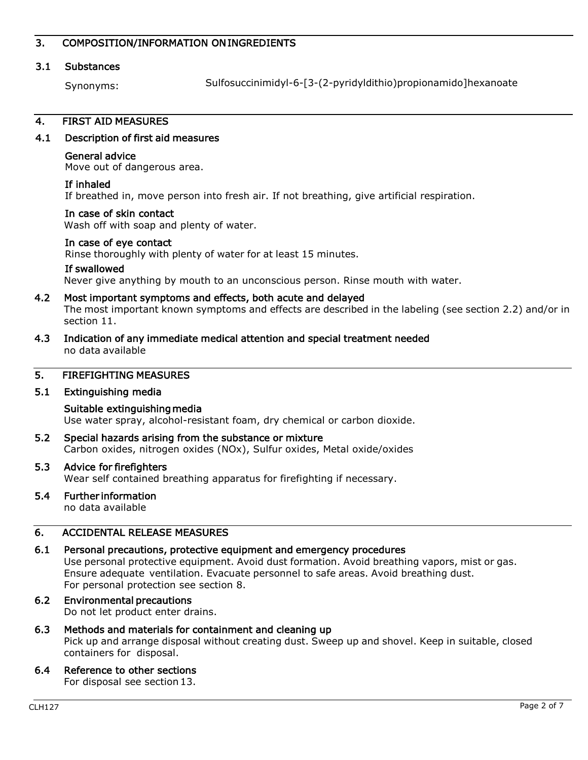## 3. COMPOSITION/INFORMATION ON INGREDIENTS

## 3.1 Substances

Synonyms:

Sulfosuccinimidyl-6-[3-(2-pyridyldithio)propionamido]hexanoate

## 4. FIRST AID MEASURES

## 4.1 Description of first aid measures

### General advice

Move out of dangerous area.

### If inhaled

If breathed in, move person into fresh air. If not breathing, give artificial respiration.

### In case of skin contact

Wash off with soap and plenty of water.

### In case of eye contact

Rinse thoroughly with plenty of water for at least 15 minutes.

### If swallowed

Never give anything by mouth to an unconscious person. Rinse mouth with water.

# 4.2 Most important symptoms and effects, both acute and delayed

The most important known symptoms and effects are described in the labeling (see section 2.2) and/or in section 11.

4.3 Indication of any immediate medical attention and special treatment needed no data available

# 5. FIREFIGHTING MEASURES

## 5.1 Extinguishing media

## Suitable extinguishing media Use water spray, alcohol-resistant foam, dry chemical or carbon dioxide.

5.2 Special hazards arising from the substance or mixture Carbon oxides, nitrogen oxides (NOx), Sulfur oxides, Metal oxide/oxides

### 5.3 Advice for firefighters

Wear self contained breathing apparatus for firefighting if necessary.

# 5.4 Further information

no data available

## 6. ACCIDENTAL RELEASE MEASURES

## 6.1 Personal precautions, protective equipment and emergency procedures

Use personal protective equipment. Avoid dust formation. Avoid breathing vapors, mist or gas. Ensure adequate ventilation. Evacuate personnel to safe areas. Avoid breathing dust. For personal protection see section 8.

#### 6.2 Environmental precautions Do not let product enter drains.

## 6.3 Methods and materials for containment and cleaning up Pick up and arrange disposal without creating dust. Sweep up and shovel. Keep in suitable, closed containers for disposal.

## 6.4 Reference to other sections

For disposal see section 13.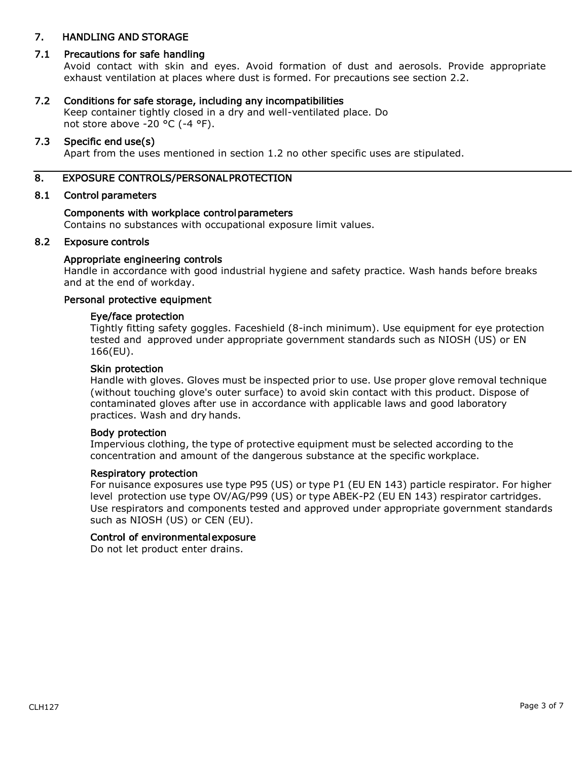## 7. HANDLING AND STORAGE

## 7.1 Precautions for safe handling

Avoid contact with skin and eyes. Avoid formation of dust and aerosols. Provide appropriate exhaust ventilation at places where dust is formed. For precautions see section 2.2.

### 7.2 Conditions for safe storage, including any incompatibilities

Keep container tightly closed in a dry and well-ventilated place. Do not store above -20 °C (-4 °F).

### 7.3 Specific end use(s)

Apart from the uses mentioned in section 1.2 no other specific uses are stipulated.

### 8. EXPOSURE CONTROLS/PERSONAL PROTECTION

### 8.1 Control parameters

### Components with workplace control parameters

Contains no substances with occupational exposure limit values.

### 8.2 Exposure controls

### Appropriate engineering controls

Handle in accordance with good industrial hygiene and safety practice. Wash hands before breaks and at the end of workday.

### Personal protective equipment

## Eye/face protection

Tightly fitting safety goggles. Faceshield (8-inch minimum). Use equipment for eye protection tested and approved under appropriate government standards such as NIOSH (US) or EN 166(EU).

### Skin protection

Handle with gloves. Gloves must be inspected prior to use. Use proper glove removal technique (without touching glove's outer surface) to avoid skin contact with this product. Dispose of contaminated gloves after use in accordance with applicable laws and good laboratory practices. Wash and dry hands.

### Body protection

Impervious clothing, the type of protective equipment must be selected according to the concentration and amount of the dangerous substance at the specific workplace.

### Respiratory protection

For nuisance exposures use type P95 (US) or type P1 (EU EN 143) particle respirator. For higher level protection use type OV/AG/P99 (US) or type ABEK-P2 (EU EN 143) respirator cartridges. Use respirators and components tested and approved under appropriate government standards such as NIOSH (US) or CEN (EU).

### Control of environmental exposure

Do not let product enter drains.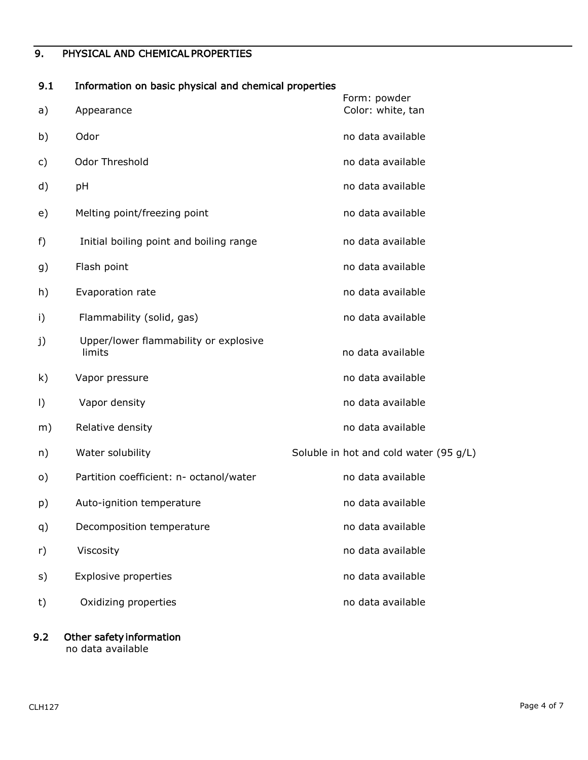# 9. PHYSICAL AND CHEMICAL PROPERTIES

# 9.1 Information on basic physical and chemical properties

|         |                                                 | Form: powder                           |
|---------|-------------------------------------------------|----------------------------------------|
| a)      | Appearance                                      | Color: white, tan                      |
| b)      | Odor                                            | no data available                      |
| c)      | Odor Threshold                                  | no data available                      |
| d)      | pH                                              | no data available                      |
| e)      | Melting point/freezing point                    | no data available                      |
| f)      | Initial boiling point and boiling range         | no data available                      |
| g)      | Flash point                                     | no data available                      |
| h)      | Evaporation rate                                | no data available                      |
| i)      | Flammability (solid, gas)                       | no data available                      |
| j)      | Upper/lower flammability or explosive<br>limits | no data available                      |
| k)      | Vapor pressure                                  | no data available                      |
| $\vert$ | Vapor density                                   | no data available                      |
| m)      | Relative density                                | no data available                      |
| n)      | Water solubility                                | Soluble in hot and cold water (95 g/L) |
| o)      | Partition coefficient: n- octanol/water         | no data available                      |
| p)      | Auto-ignition temperature                       | no data available                      |
| q)      | Decomposition temperature                       | no data available                      |
| r)      | Viscosity                                       | no data available                      |
| s)      | <b>Explosive properties</b>                     | no data available                      |
| t)      | Oxidizing properties                            | no data available                      |
|         |                                                 |                                        |

# 9.2 Other safety information

no data available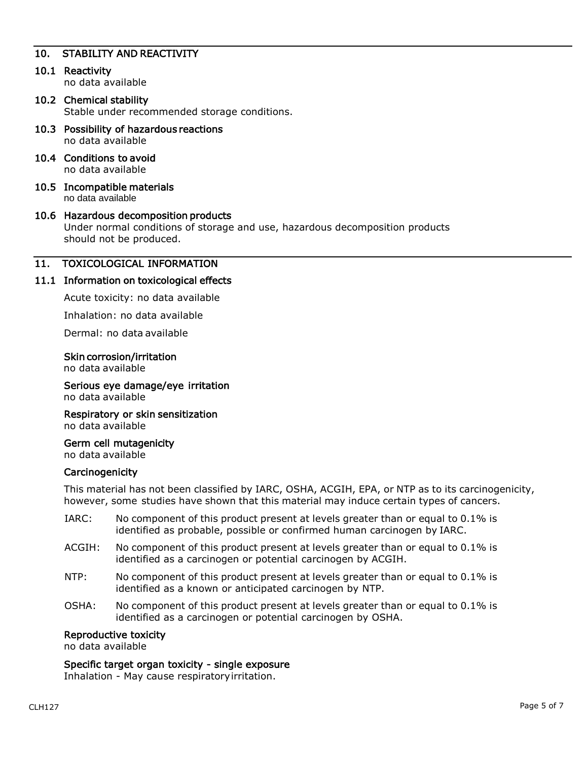# 10. STABILITY AND REACTIVITY

## 10.1 Reactivity

no data available

### 10.2 Chemical stability Stable under recommended storage conditions.

- 10.3 Possibility of hazardous reactions no data available
- 10.4 Conditions to avoid no data available
- 10.5 Incompatible materials no data available

# 10.6 Hazardous decomposition products Under normal conditions of storage and use, hazardous decomposition products should not be produced.

## 11. TOXICOLOGICAL INFORMATION

## 11.1 Information on toxicological effects

Acute toxicity: no data available

Inhalation: no data available

Dermal: no data available

### Skin corrosion/irritation

no data available

Serious eye damage/eye irritation no data available

Respiratory or skin sensitization no data available

Germ cell mutagenicity no data available

### **Carcinogenicity**

This material has not been classified by IARC, OSHA, ACGIH, EPA, or NTP as to its carcinogenicity, however, some studies have shown that this material may induce certain types of cancers.

- IARC: No component of this product present at levels greater than or equal to 0.1% is identified as probable, possible or confirmed human carcinogen by IARC.
- ACGIH: No component of this product present at levels greater than or equal to 0.1% is identified as a carcinogen or potential carcinogen by ACGIH.
- NTP: No component of this product present at levels greater than or equal to 0.1% is identified as a known or anticipated carcinogen by NTP.
- OSHA: No component of this product present at levels greater than or equal to 0.1% is identified as a carcinogen or potential carcinogen by OSHA.

### Reproductive toxicity

no data available

### Specific target organ toxicity - single exposure

Inhalation - May cause respiratoryirritation.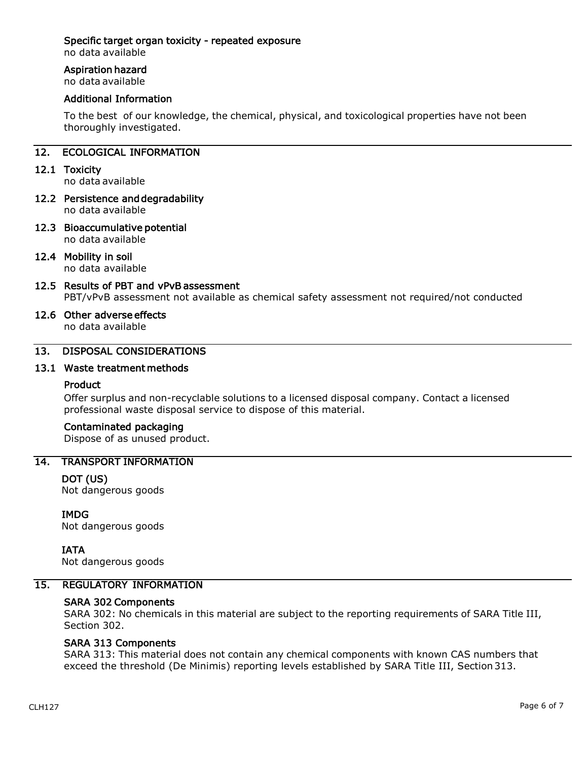## Specific target organ toxicity - repeated exposure

no data available

## Aspiration hazard

no data available

## Additional Information

To the best of our knowledge, the chemical, physical, and toxicological properties have not been thoroughly investigated.

# 12. ECOLOGICAL INFORMATION

12.1 Toxicity

no data available

- 12.2 Persistence and degradability no data available
- 12.3 Bioaccumulative potential no data available

## 12.4 Mobility in soil

no data available

12.5 Results of PBT and vPvB assessment PBT/vPvB assessment not available as chemical safety assessment not required/not conducted

#### 12.6 Other adverse effects no data available

# 13. DISPOSAL CONSIDERATIONS

## 13.1 Waste treatment methods

## Product

Offer surplus and non-recyclable solutions to a licensed disposal company. Contact a licensed professional waste disposal service to dispose of this material.

## Contaminated packaging

Dispose of as unused product.

## 14. TRANSPORT INFORMATION

## DOT (US)

Not dangerous goods

## IMDG

Not dangerous goods

IATA

Not dangerous goods

# 15. REGULATORY INFORMATION

## SARA 302 Components

SARA 302: No chemicals in this material are subject to the reporting requirements of SARA Title III, Section 302.

## SARA 313 Components

SARA 313: This material does not contain any chemical components with known CAS numbers that exceed the threshold (De Minimis) reporting levels established by SARA Title III, Section313.